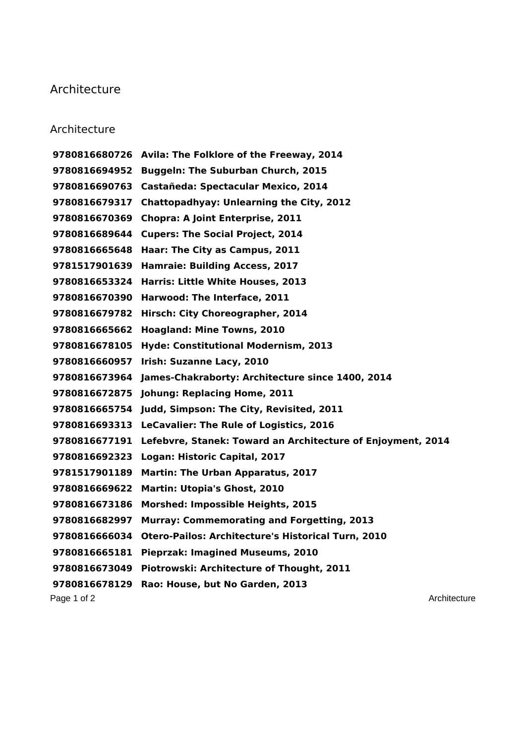## **Architecture**

## **Architecture**

Page 1 of 2 Architecture **Page 1 of 2** Architecture **Architecture Avila: The Folklore of the Freeway, 2014 Buggeln: The Suburban Church, 2015 Castañeda: Spectacular Mexico, 2014 Chattopadhyay: Unlearning the City, 2012 Chopra: A Joint Enterprise, 2011 Cupers: The Social Project, 2014 Haar: The City as Campus, 2011 Hamraie: Building Access, 2017 Harris: Little White Houses, 2013 Harwood: The Interface, 2011 Hirsch: City Choreographer, 2014 Hoagland: Mine Towns, 2010 Hyde: Constitutional Modernism, 2013 Irish: Suzanne Lacy, 2010 James-Chakraborty: Architecture since 1400, 2014 Johung: Replacing Home, 2011 Judd, Simpson: The City, Revisited, 2011 LeCavalier: The Rule of Logistics, 2016 Lefebvre, Stanek: Toward an Architecture of Enjoyment, 2014 Logan: Historic Capital, 2017 Martin: The Urban Apparatus, 2017 Martin: Utopia's Ghost, 2010 Morshed: Impossible Heights, 2015 Murray: Commemorating and Forgetting, 2013 Otero-Pailos: Architecture's Historical Turn, 2010 Pieprzak: Imagined Museums, 2010 Piotrowski: Architecture of Thought, 2011 Rao: House, but No Garden, 2013**